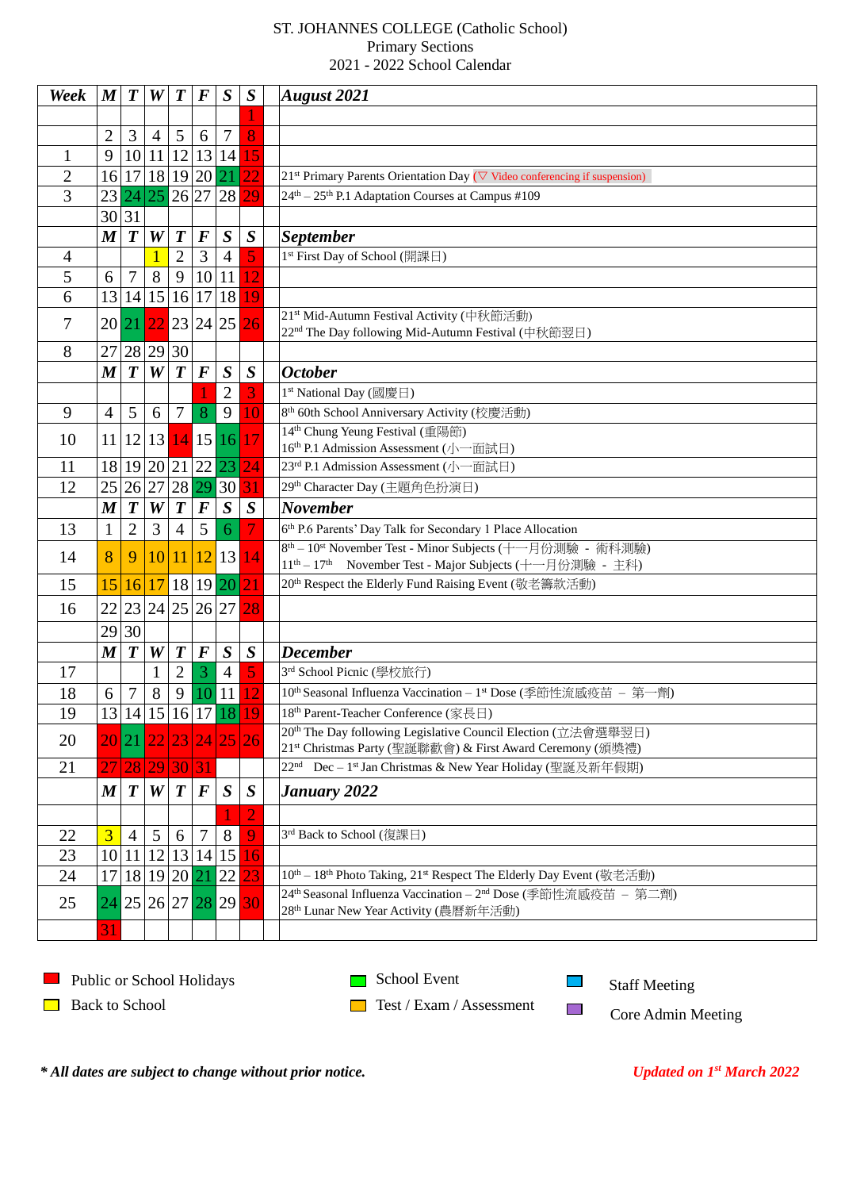## ST. JOHANNES COLLEGE (Catholic School) Primary Sections 2021 - 2022 School Calendar

| Week           | $\boldsymbol{M}$ | $\boldsymbol{T}$ | W                | $\boldsymbol{T}$  | $\bm{F}$          | $\boldsymbol{S}$     | $\boldsymbol{S}$ | <b>August</b> 2021                                                                                                                                                    |
|----------------|------------------|------------------|------------------|-------------------|-------------------|----------------------|------------------|-----------------------------------------------------------------------------------------------------------------------------------------------------------------------|
|                |                  |                  |                  |                   |                   |                      |                  |                                                                                                                                                                       |
|                | 2                | 3                | 4                | 5                 | 6                 | 7                    | 8                |                                                                                                                                                                       |
| 1              | 9                | 10               | 11               | 12                |                   | 13 14                | 15               |                                                                                                                                                                       |
| $\overline{2}$ | 16               | 17               |                  |                   | 18 19 20 21       |                      | 22               | 21 <sup>st</sup> Primary Parents Orientation Day ( $\nabla$ Video conferencing if suspension)                                                                         |
| 3              | 23               | 24               | 25               | $26\overline{27}$ |                   | 28                   | 29               | 24 <sup>th</sup> – 25 <sup>th</sup> P.1 Adaptation Courses at Campus #109                                                                                             |
|                | 30               | 31               |                  |                   |                   |                      |                  |                                                                                                                                                                       |
|                | $\boldsymbol{M}$ | $\boldsymbol{T}$ | W                | $\boldsymbol{T}$  | $\boldsymbol{F}$  | $\boldsymbol{S}$     | $\boldsymbol{S}$ | <b>September</b>                                                                                                                                                      |
| 4              |                  |                  |                  | $\overline{2}$    | 3                 | $\overline{4}$       | 5                | 1 <sup>st</sup> First Day of School (開課日)                                                                                                                             |
| 5              | 6                | 7                | 8                | 9                 | 10                | 11                   |                  |                                                                                                                                                                       |
| 6              | 13               |                  | 14 15 16         |                   | 17                | 18                   | 19               |                                                                                                                                                                       |
| 7              |                  | 20 21            | 22               |                   |                   | $23 24 25$ 26        |                  | 21 <sup>st</sup> Mid-Autumn Festival Activity (中秋節活動)                                                                                                                 |
|                |                  |                  |                  |                   |                   |                      |                  | 22 <sup>nd</sup> The Day following Mid-Autumn Festival (中秋節翌日)                                                                                                        |
| 8              | 27               |                  | 28 29 30         |                   |                   |                      |                  |                                                                                                                                                                       |
|                | $\boldsymbol{M}$ | $\boldsymbol{T}$ | W                | $\boldsymbol{T}$  | $\bm{F}$          | $\boldsymbol{S}$     | $\boldsymbol{S}$ | <b>October</b>                                                                                                                                                        |
|                |                  |                  |                  |                   |                   | $\overline{2}$       |                  | 1 <sup>st</sup> National Day (國慶日)                                                                                                                                    |
| 9              | 4                | 5                | 6                | 7                 | 8                 | 9                    | 10               | 8 <sup>th</sup> 60th School Anniversary Activity (校慶活動)                                                                                                               |
| 10             | 11               | 12               | 13               | 14                |                   | 15 16                | 17               | 14 <sup>th</sup> Chung Yeung Festival (重陽節)                                                                                                                           |
| 11             | 18               |                  |                  |                   |                   | 19 20 21 22 23       | 24               | 16 <sup>th</sup> P.1 Admission Assessment (小一面試日)<br>23rd P.1 Admission Assessment (小一面試日)                                                                            |
| 12             | 25               | 26 27            |                  | 28                | 29                | 30                   |                  | 29 <sup>th</sup> Character Day (主題角色扮演日)                                                                                                                              |
|                |                  |                  |                  |                   |                   |                      |                  |                                                                                                                                                                       |
|                | $\boldsymbol{M}$ | $\boldsymbol{T}$ | W                | $\boldsymbol{T}$  | $\boldsymbol{F}$  | $\boldsymbol{S}$     | $\boldsymbol{S}$ | <b>November</b>                                                                                                                                                       |
| 13             | $\mathbf{1}$     | $\overline{2}$   | 3                | $\overline{4}$    | 5                 | 6                    |                  | 6th P.6 Parents' Day Talk for Secondary 1 Place Allocation                                                                                                            |
| 14             | 8                | 9                | 10               | 11                |                   | 12 13                | 14               | 8 <sup>th</sup> - 10 <sup>st</sup> November Test - Minor Subjects (十一月份測驗 - 術科測驗)<br>11 <sup>th</sup> - 17 <sup>th</sup> November Test - Major Subjects (十一月份測驗 - 主科) |
| 15             | 15               | 16               | 17               | 18                |                   | 19 20                | 21               | 20 <sup>th</sup> Respect the Elderly Fund Raising Event (敬老籌款活動)                                                                                                      |
|                |                  |                  |                  |                   |                   |                      |                  |                                                                                                                                                                       |
| 16             | 22               |                  |                  |                   |                   | 23 24 25 26 27 28    |                  |                                                                                                                                                                       |
|                | 29               | 30               |                  |                   |                   |                      |                  |                                                                                                                                                                       |
|                | $\boldsymbol{M}$ | $\boldsymbol{T}$ | W                | $\boldsymbol{T}$  | $\boldsymbol{F}$  | $\boldsymbol{S}$     | $\boldsymbol{S}$ | <b>December</b>                                                                                                                                                       |
| 17             |                  |                  | 1                | $\overline{2}$    | 3                 | $\overline{4}$       | 5                | 3rd School Picnic (學校旅行)                                                                                                                                              |
| 18             | 6                | 7                | 8                | 9                 | 10                | <sup>11</sup>        |                  | 10 <sup>th</sup> Seasonal Influenza Vaccination - 1 <sup>st</sup> Dose (季節性流感疫苗 - 第-<br>一劑)                                                                           |
| 19             |                  |                  |                  |                   |                   | 13 14 15 16 17 18 19 | 1 <sub>O</sub>   | 18 <sup>th</sup> Parent-Teacher Conference (家長日)                                                                                                                      |
| 20             |                  | 20 21            |                  | 22 23             |                   | 24 25 26             |                  | 20 <sup>th</sup> The Day following Legislative Council Election (立法會選舉翌日)                                                                                             |
|                |                  |                  |                  |                   |                   |                      |                  | 21st Christmas Party (聖誕聯歡會) & First Award Ceremony (頒獎禮)<br>22 <sup>nd</sup> Dec - 1 <sup>st</sup> Jan Christmas & New Year Holiday (聖誕及新年假期)                        |
| 21             | 27               | 28               | 29               | $ 30\rangle$      | 31                |                      |                  |                                                                                                                                                                       |
|                | $\boldsymbol{M}$ | $\boldsymbol{T}$ | $\boldsymbol{W}$ | $\boldsymbol{T}$  | $\bm{F}$          | S                    | $\boldsymbol{S}$ | <b>January 2022</b>                                                                                                                                                   |
|                |                  |                  |                  |                   |                   |                      |                  |                                                                                                                                                                       |
| 22             | 3                | $\overline{4}$   | 5                | 6                 |                   | 8                    | 9                | 3 <sup>rd</sup> Back to School (復課日)                                                                                                                                  |
| 23             |                  |                  |                  |                   | 10 11 12 13 14 15 |                      | 16               |                                                                                                                                                                       |
| 24             | 17               |                  | 18 19 20 21      |                   |                   | 22                   | 23               | 10 <sup>th</sup> - 18 <sup>th</sup> Photo Taking, 21 <sup>st</sup> Respect The Elderly Day Event (敬老活動)                                                               |
| 25             | 24               |                  |                  |                   |                   | 25 26 27 28 29 30    |                  | 24 <sup>th</sup> Seasonal Influenza Vaccination - 2 <sup>nd</sup> Dose (季節性流感疫苗 - 第二劑)                                                                                |
|                |                  |                  |                  |                   |                   |                      |                  | 28 <sup>th</sup> Lunar New Year Activity (農曆新年活動)                                                                                                                     |
|                | $3^{\circ}$      |                  |                  |                   |                   |                      |                  |                                                                                                                                                                       |

 $\mathcal{L}^{\text{max}}$ Public or School Holidays **■** Back to School

School Event

Staff Meeting

 $\overline{\phantom{a}}$  $\mathcal{L}_{\mathcal{A}}$ 

 $\Box$  Test / Exam / Assessment

Core Admin Meeting

 $*$  All dates are subject to change without prior notice.

*Updated on 1st March 2022*